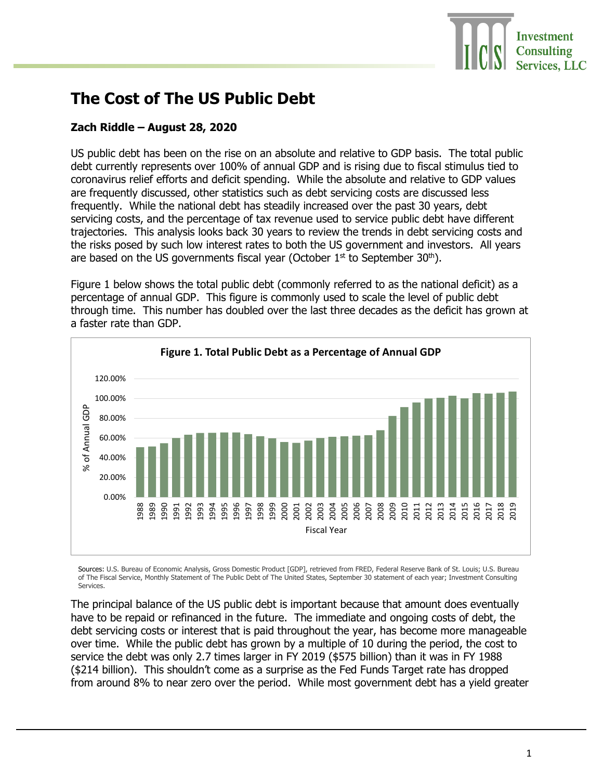## **The Cost of The US Public Debt**

## **Zach Riddle – August 28, 2020**

US public debt has been on the rise on an absolute and relative to GDP basis. The total public debt currently represents over 100% of annual GDP and is rising due to fiscal stimulus tied to coronavirus relief efforts and deficit spending. While the absolute and relative to GDP values are frequently discussed, other statistics such as debt servicing costs are discussed less frequently. While the national debt has steadily increased over the past 30 years, debt servicing costs, and the percentage of tax revenue used to service public debt have different trajectories. This analysis looks back 30 years to review the trends in debt servicing costs and the risks posed by such low interest rates to both the US government and investors. All years are based on the US governments fiscal year (October  $1<sup>st</sup>$  to September 30<sup>th</sup>).

Figure 1 below shows the total public debt (commonly referred to as the national deficit) as a percentage of annual GDP. This figure is commonly used to scale the level of public debt through time. This number has doubled over the last three decades as the deficit has grown at a faster rate than GDP.



Sources: U.S. Bureau of Economic Analysis, Gross Domestic Product [GDP], retrieved from FRED, Federal Reserve Bank of St. Louis; U.S. Bureau of The Fiscal Service, Monthly Statement of The Public Debt of The United States, September 30 statement of each year; Investment Consulting Services.

The principal balance of the US public debt is important because that amount does eventually have to be repaid or refinanced in the future. The immediate and ongoing costs of debt, the debt servicing costs or interest that is paid throughout the year, has become more manageable over time. While the public debt has grown by a multiple of 10 during the period, the cost to service the debt was only 2.7 times larger in FY 2019 (\$575 billion) than it was in FY 1988 (\$214 billion). This shouldn't come as a surprise as the Fed Funds Target rate has dropped from around 8% to near zero over the period. While most government debt has a yield greater

**Investment Consulting Services, LLC**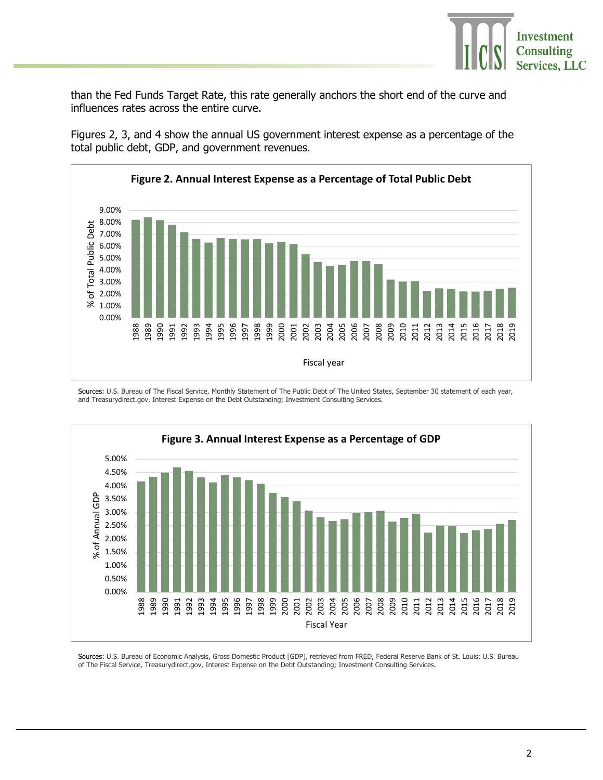

than the Fed Funds Target Rate, this rate generally anchors the short end of the curve and influences rates across the entire curve.

Figures 2, 3, and 4 show the annual US government interest expense as a percentage of the total public debt, GDP, and government revenues.



Sources: U.S. Bureau of The Fiscal Service, Monthly Statement of The Public Debt of The United States, September 30 statement of each year, and Treasurydirect.gov, Interest Expense on the Debt Outstanding; Investment Consulting Services.



Sources: U.S. Bureau of Economic Analysis, Gross Domestic Product [GDP], retrieved from FRED, Federal Reserve Bank of St. Louis; U.S. Bureau of The Fiscal Service, Treasurydirect.gov, Interest Expense on the Debt Outstanding; Investment Consulting Services.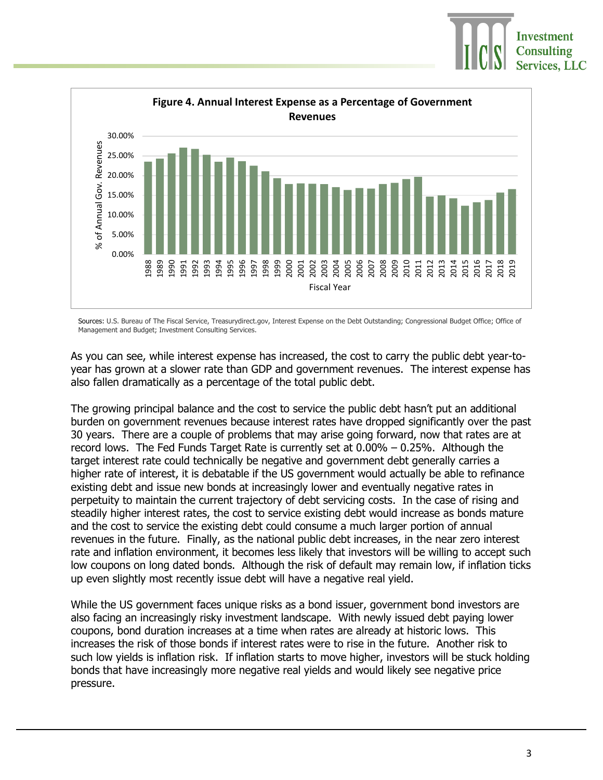



Sources: U.S. Bureau of The Fiscal Service, Treasurydirect.gov, Interest Expense on the Debt Outstanding; Congressional Budget Office; Office of Management and Budget; Investment Consulting Services.

As you can see, while interest expense has increased, the cost to carry the public debt year-toyear has grown at a slower rate than GDP and government revenues. The interest expense has also fallen dramatically as a percentage of the total public debt.

The growing principal balance and the cost to service the public debt hasn't put an additional burden on government revenues because interest rates have dropped significantly over the past 30 years. There are a couple of problems that may arise going forward, now that rates are at record lows. The Fed Funds Target Rate is currently set at 0.00% – 0.25%. Although the target interest rate could technically be negative and government debt generally carries a higher rate of interest, it is debatable if the US government would actually be able to refinance existing debt and issue new bonds at increasingly lower and eventually negative rates in perpetuity to maintain the current trajectory of debt servicing costs. In the case of rising and steadily higher interest rates, the cost to service existing debt would increase as bonds mature and the cost to service the existing debt could consume a much larger portion of annual revenues in the future. Finally, as the national public debt increases, in the near zero interest rate and inflation environment, it becomes less likely that investors will be willing to accept such low coupons on long dated bonds. Although the risk of default may remain low, if inflation ticks up even slightly most recently issue debt will have a negative real yield.

While the US government faces unique risks as a bond issuer, government bond investors are also facing an increasingly risky investment landscape. With newly issued debt paying lower coupons, bond duration increases at a time when rates are already at historic lows. This increases the risk of those bonds if interest rates were to rise in the future. Another risk to such low yields is inflation risk. If inflation starts to move higher, investors will be stuck holding bonds that have increasingly more negative real yields and would likely see negative price pressure.